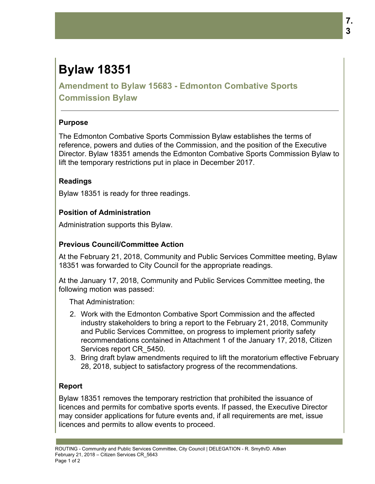# **Bylaw 18351**

**Amendment to Bylaw 15683 - Edmonton Combative Sports Commission Bylaw**

## **Purpose**

The Edmonton Combative Sports Commission Bylaw establishes the terms of reference, powers and duties of the Commission, and the position of the Executive Director. Bylaw 18351 amends the Edmonton Combative Sports Commission Bylaw to lift the temporary restrictions put in place in December 2017.

## **Readings**

Bylaw 18351 is ready for three readings.

# **Position of Administration**

Administration supports this Bylaw.

# **Previous Council/Committee Action**

At the February 21, 2018, Community and Public Services Committee meeting, Bylaw 18351 was forwarded to City Council for the appropriate readings.

At the January 17, 2018, Community and Public Services Committee meeting, the following motion was passed:

That Administration:

- 2. Work with the Edmonton Combative Sport Commission and the affected industry stakeholders to bring a report to the February 21, 2018, Community and Public Services Committee, on progress to implement priority safety recommendations contained in Attachment 1 of the January 17, 2018, Citizen Services report CR 5450.
- 3. Bring draft bylaw amendments required to lift the moratorium effective February 28, 2018, subject to satisfactory progress of the recommendations.

# **Report**

Bylaw 18351 removes the temporary restriction that prohibited the issuance of licences and permits for combative sports events. If passed, the Executive Director may consider applications for future events and, if all requirements are met, issue licences and permits to allow events to proceed.